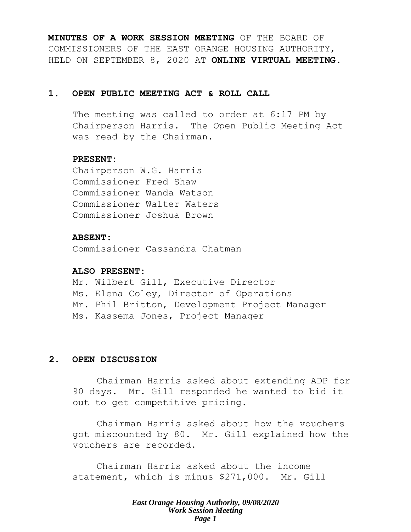**MINUTES OF A WORK SESSION MEETING** OF THE BOARD OF COMMISSIONERS OF THE EAST ORANGE HOUSING AUTHORITY, HELD ON SEPTEMBER 8, 2020 AT **ONLINE VIRTUAL MEETING**.

#### **1. OPEN PUBLIC MEETING ACT & ROLL CALL**

The meeting was called to order at 6:17 PM by Chairperson Harris. The Open Public Meeting Act was read by the Chairman.

#### **PRESENT:**

Chairperson W.G. Harris Commissioner Fred Shaw Commissioner Wanda Watson Commissioner Walter Waters Commissioner Joshua Brown

#### **ABSENT:**

Commissioner Cassandra Chatman

#### **ALSO PRESENT:**

Mr. Wilbert Gill, Executive Director Ms. Elena Coley, Director of Operations Mr. Phil Britton, Development Project Manager Ms. Kassema Jones, Project Manager

# **2. OPEN DISCUSSION**

Chairman Harris asked about extending ADP for 90 days. Mr. Gill responded he wanted to bid it out to get competitive pricing.

Chairman Harris asked about how the vouchers got miscounted by 80. Mr. Gill explained how the vouchers are recorded.

Chairman Harris asked about the income statement, which is minus \$271,000. Mr. Gill

> *East Orange Housing Authority, 09/08/2020 Work Session Meeting Page 1*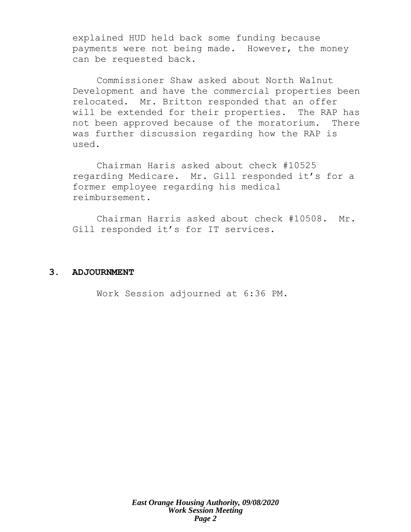explained HUD held back some funding because payments were not being made. However, the money can be requested back.

Commissioner Shaw asked about North Walnut Development and have the commercial properties been relocated. Mr. Britton responded that an offer will be extended for their properties. The RAP has not been approved because of the moratorium. There was further discussion regarding how the RAP is used.

Chairman Haris asked about check #10525 regarding Medicare. Mr. Gill responded it's for a former employee regarding his medical reimbursement.

Chairman Harris asked about check #10508. Mr. Gill responded it's for IT services.

#### **3. ADJOURNMENT**

Work Session adjourned at 6:36 PM.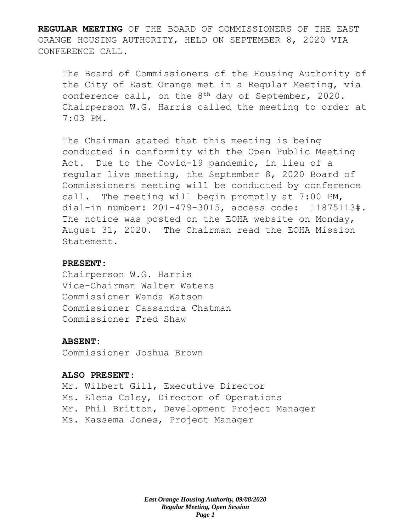**REGULAR MEETING** OF THE BOARD OF COMMISSIONERS OF THE EAST ORANGE HOUSING AUTHORITY, HELD ON SEPTEMBER 8, 2020 VIA CONFERENCE CALL.

The Board of Commissioners of the Housing Authority of the City of East Orange met in a Regular Meeting, via conference call, on the 8<sup>th</sup> day of September, 2020. Chairperson W.G. Harris called the meeting to order at 7:03 PM.

The Chairman stated that this meeting is being conducted in conformity with the Open Public Meeting Act. Due to the Covid-19 pandemic, in lieu of a regular live meeting, the September 8, 2020 Board of Commissioners meeting will be conducted by conference call. The meeting will begin promptly at 7:00 PM, dial-in number: 201-479-3015, access code: 11875113#. The notice was posted on the EOHA website on Monday, August 31, 2020. The Chairman read the EOHA Mission Statement.

#### **PRESENT:**

Chairperson W.G. Harris Vice-Chairman Walter Waters Commissioner Wanda Watson Commissioner Cassandra Chatman Commissioner Fred Shaw

## **ABSENT:**

Commissioner Joshua Brown

#### **ALSO PRESENT:**

Mr. Wilbert Gill, Executive Director Ms. Elena Coley, Director of Operations Mr. Phil Britton, Development Project Manager Ms. Kassema Jones, Project Manager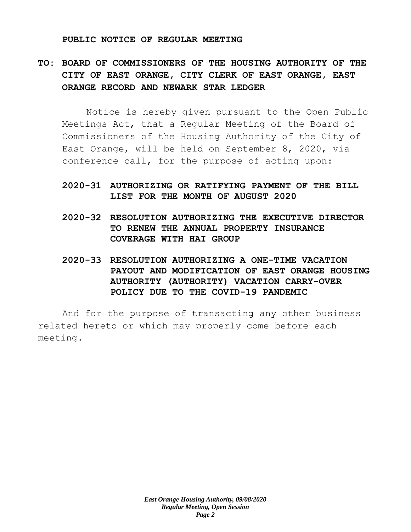#### **PUBLIC NOTICE OF REGULAR MEETING**

# **TO: BOARD OF COMMISSIONERS OF THE HOUSING AUTHORITY OF THE CITY OF EAST ORANGE, CITY CLERK OF EAST ORANGE, EAST ORANGE RECORD AND NEWARK STAR LEDGER**

Notice is hereby given pursuant to the Open Public Meetings Act, that a Regular Meeting of the Board of Commissioners of the Housing Authority of the City of East Orange, will be held on September 8, 2020, via conference call, for the purpose of acting upon:

# **2020-31 AUTHORIZING OR RATIFYING PAYMENT OF THE BILL LIST FOR THE MONTH OF AUGUST 2020**

- **2020-32 RESOLUTION AUTHORIZING THE EXECUTIVE DIRECTOR TO RENEW THE ANNUAL PROPERTY INSURANCE COVERAGE WITH HAI GROUP**
- **2020-33 RESOLUTION AUTHORIZING A ONE-TIME VACATION PAYOUT AND MODIFICATION OF EAST ORANGE HOUSING AUTHORITY (AUTHORITY) VACATION CARRY-OVER POLICY DUE TO THE COVID-19 PANDEMIC**

And for the purpose of transacting any other business related hereto or which may properly come before each meeting.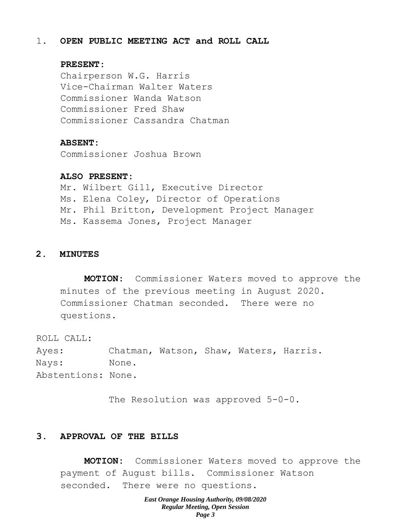#### 1. **OPEN PUBLIC MEETING ACT and ROLL CALL**

#### **PRESENT:**

Chairperson W.G. Harris Vice-Chairman Walter Waters Commissioner Wanda Watson Commissioner Fred Shaw Commissioner Cassandra Chatman

#### **ABSENT:**

Commissioner Joshua Brown

#### **ALSO PRESENT:**

Mr. Wilbert Gill, Executive Director Ms. Elena Coley, Director of Operations Mr. Phil Britton, Development Project Manager Ms. Kassema Jones, Project Manager

#### **2. MINUTES**

**MOTION:** Commissioner Waters moved to approve the minutes of the previous meeting in August 2020. Commissioner Chatman seconded. There were no questions.

ROLL CALL: Ayes: Chatman, Watson, Shaw, Waters, Harris. Nays: None. Abstentions: None.

The Resolution was approved 5-0-0.

# **3. APPROVAL OF THE BILLS**

**MOTION:** Commissioner Waters moved to approve the payment of August bills. Commissioner Watson seconded. There were no questions.

> *East Orange Housing Authority, 09/08/2020 Regular Meeting, Open Session Page 3*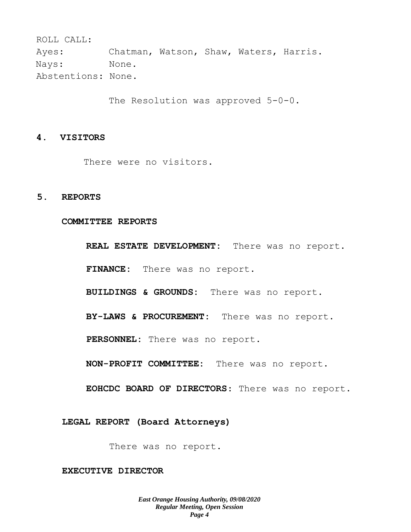ROLL CALL: Ayes: Chatman, Watson, Shaw, Waters, Harris. Nays: None. Abstentions: None.

The Resolution was approved 5-0-0.

#### **4. VISITORS**

There were no visitors.

### **5. REPORTS**

**COMMITTEE REPORTS**

**REAL ESTATE DEVELOPMENT:** There was no report. **FINANCE:** There was no report. **BUILDINGS & GROUNDS:** There was no report. **BY-LAWS & PROCUREMENT:** There was no report. **PERSONNEL:** There was no report. **NON-PROFIT COMMITTEE:** There was no report. **EOHCDC BOARD OF DIRECTORS**: There was no report.

**LEGAL REPORT (Board Attorneys)**

There was no report.

**EXECUTIVE DIRECTOR**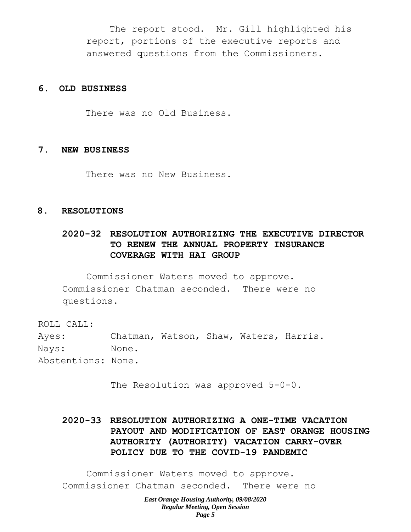The report stood. Mr. Gill highlighted his report, portions of the executive reports and answered questions from the Commissioners.

#### **6. OLD BUSINESS**

There was no Old Business.

#### **7. NEW BUSINESS**

There was no New Business.

#### **8. RESOLUTIONS**

# **2020-32 RESOLUTION AUTHORIZING THE EXECUTIVE DIRECTOR TO RENEW THE ANNUAL PROPERTY INSURANCE COVERAGE WITH HAI GROUP**

Commissioner Waters moved to approve. Commissioner Chatman seconded. There were no questions.

ROLL CALL:

Ayes: Chatman, Watson, Shaw, Waters, Harris. Nays: None. Abstentions: None.

The Resolution was approved 5-0-0.

**2020-33 RESOLUTION AUTHORIZING A ONE-TIME VACATION PAYOUT AND MODIFICATION OF EAST ORANGE HOUSING AUTHORITY (AUTHORITY) VACATION CARRY-OVER POLICY DUE TO THE COVID-19 PANDEMIC**

Commissioner Waters moved to approve. Commissioner Chatman seconded. There were no